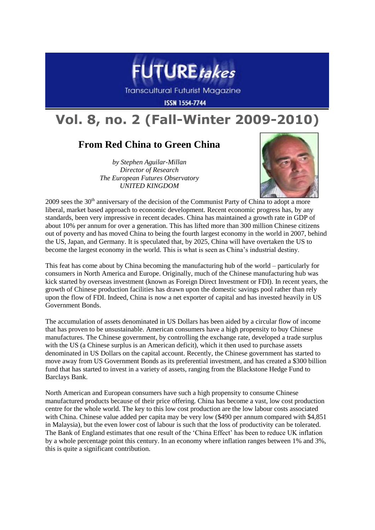

**Transcultural Futurist Magazine** 

**ISSN 1554-7744** 

# **Vol. 8, no. 2 (Fall-Winter 2009-2010)**

# **From Red China to Green China**

*by Stephen Aguilar-Millan Director of Research The European Futures Observatory UNITED KINGDOM*



2009 sees the  $30<sup>th</sup>$  anniversary of the decision of the Communist Party of China to adopt a more liberal, market based approach to economic development. Recent economic progress has, by any standards, been very impressive in recent decades. China has maintained a growth rate in GDP of about 10% per annum for over a generation. This has lifted more than 300 million Chinese citizens out of poverty and has moved China to being the fourth largest economy in the world in 2007, behind the US, Japan, and Germany. It is speculated that, by 2025, China will have overtaken the US to become the largest economy in the world. This is what is seen as China's industrial destiny.

This feat has come about by China becoming the manufacturing hub of the world – particularly for consumers in North America and Europe. Originally, much of the Chinese manufacturing hub was kick started by overseas investment (known as Foreign Direct Investment or FDI). In recent years, the growth of Chinese production facilities has drawn upon the domestic savings pool rather than rely upon the flow of FDI. Indeed, China is now a net exporter of capital and has invested heavily in US Government Bonds.

The accumulation of assets denominated in US Dollars has been aided by a circular flow of income that has proven to be unsustainable. American consumers have a high propensity to buy Chinese manufactures. The Chinese government, by controlling the exchange rate, developed a trade surplus with the US (a Chinese surplus is an American deficit), which it then used to purchase assets denominated in US Dollars on the capital account. Recently, the Chinese government has started to move away from US Government Bonds as its preferential investment, and has created a \$300 billion fund that has started to invest in a variety of assets, ranging from the Blackstone Hedge Fund to Barclays Bank.

North American and European consumers have such a high propensity to consume Chinese manufactured products because of their price offering. China has become a vast, low cost production centre for the whole world. The key to this low cost production are the low labour costs associated with China. Chinese value added per capita may be very low (\$490 per annum compared with \$4,851 in Malaysia), but the even lower cost of labour is such that the loss of productivity can be tolerated. The Bank of England estimates that one result of the 'China Effect' has been to reduce UK inflation by a whole percentage point this century. In an economy where inflation ranges between 1% and 3%, this is quite a significant contribution.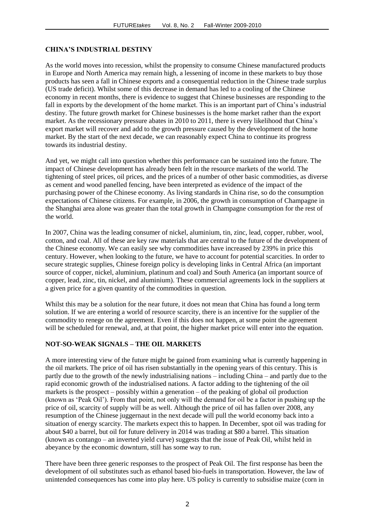#### **CHINA'S INDUSTRIAL DESTINY**

As the world moves into recession, whilst the propensity to consume Chinese manufactured products in Europe and North America may remain high, a lessening of income in these markets to buy those products has seen a fall in Chinese exports and a consequential reduction in the Chinese trade surplus (US trade deficit). Whilst some of this decrease in demand has led to a cooling of the Chinese economy in recent months, there is evidence to suggest that Chinese businesses are responding to the fall in exports by the development of the home market. This is an important part of China's industrial destiny. The future growth market for Chinese businesses is the home market rather than the export market. As the recessionary pressure abates in 2010 to 2011, there is every likelihood that China's export market will recover and add to the growth pressure caused by the development of the home market. By the start of the next decade, we can reasonably expect China to continue its progress towards its industrial destiny.

And yet, we might call into question whether this performance can be sustained into the future. The impact of Chinese development has already been felt in the resource markets of the world. The tightening of steel prices, oil prices, and the prices of a number of other basic commodities, as diverse as cement and wood panelled fencing, have been interpreted as evidence of the impact of the purchasing power of the Chinese economy. As living standards in China rise, so do the consumption expectations of Chinese citizens. For example, in 2006, the growth in consumption of Champagne in the Shanghai area alone was greater than the total growth in Champagne consumption for the rest of the world.

In 2007, China was the leading consumer of nickel, aluminium, tin, zinc, lead, copper, rubber, wool, cotton, and coal. All of these are key raw materials that are central to the future of the development of the Chinese economy. We can easily see why commodities have increased by 239% in price this century. However, when looking to the future, we have to account for potential scarcities. In order to secure strategic supplies, Chinese foreign policy is developing links in Central Africa (an important source of copper, nickel, aluminium, platinum and coal) and South America (an important source of copper, lead, zinc, tin, nickel, and aluminium). These commercial agreements lock in the suppliers at a given price for a given quantity of the commodities in question.

Whilst this may be a solution for the near future, it does not mean that China has found a long term solution. If we are entering a world of resource scarcity, there is an incentive for the supplier of the commodity to renege on the agreement. Even if this does not happen, at some point the agreement will be scheduled for renewal, and, at that point, the higher market price will enter into the equation.

#### **NOT-SO-WEAK SIGNALS – THE OIL MARKETS**

A more interesting view of the future might be gained from examining what is currently happening in the oil markets. The price of oil has risen substantially in the opening years of this century. This is partly due to the growth of the newly industrialising nations – including China – and partly due to the rapid economic growth of the industrialised nations. A factor adding to the tightening of the oil markets is the prospect – possibly within a generation – of the peaking of global oil production (known as 'Peak Oil'). From that point, not only will the demand for oil be a factor in pushing up the price of oil, scarcity of supply will be as well. Although the price of oil has fallen over 2008, any resumption of the Chinese juggernaut in the next decade will pull the world economy back into a situation of energy scarcity. The markets expect this to happen. In December, spot oil was trading for about \$40 a barrel, but oil for future delivery in 2014 was trading at \$80 a barrel. This situation (known as contango – an inverted yield curve) suggests that the issue of Peak Oil, whilst held in abeyance by the economic downturn, still has some way to run.

There have been three generic responses to the prospect of Peak Oil. The first response has been the development of oil substitutes such as ethanol based bio-fuels in transportation. However, the law of unintended consequences has come into play here. US policy is currently to subsidise maize (corn in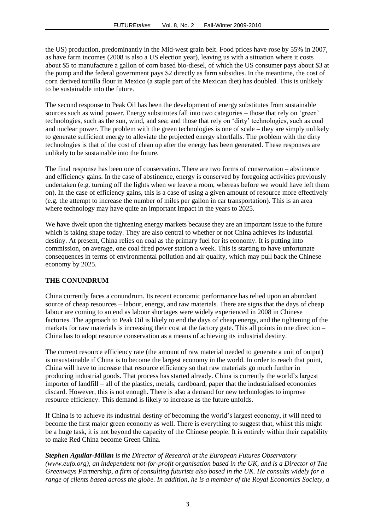the US) production, predominantly in the Mid-west grain belt. Food prices have rose by 55% in 2007, as have farm incomes (2008 is also a US election year), leaving us with a situation where it costs about \$5 to manufacture a gallon of corn based bio-diesel, of which the US consumer pays about \$3 at the pump and the federal government pays \$2 directly as farm subsidies. In the meantime, the cost of corn derived tortilla flour in Mexico (a staple part of the Mexican diet) has doubled. This is unlikely to be sustainable into the future.

The second response to Peak Oil has been the development of energy substitutes from sustainable sources such as wind power. Energy substitutes fall into two categories – those that rely on 'green' technologies, such as the sun, wind, and sea; and those that rely on 'dirty' technologies, such as coal and nuclear power. The problem with the green technologies is one of scale – they are simply unlikely to generate sufficient energy to alleviate the projected energy shortfalls. The problem with the dirty technologies is that of the cost of clean up after the energy has been generated. These responses are unlikely to be sustainable into the future.

The final response has been one of conservation. There are two forms of conservation – abstinence and efficiency gains. In the case of abstinence, energy is conserved by foregoing activities previously undertaken (e.g. turning off the lights when we leave a room, whereas before we would have left them on). In the case of efficiency gains, this is a case of using a given amount of resource more effectively (e.g. the attempt to increase the number of miles per gallon in car transportation). This is an area where technology may have quite an important impact in the years to 2025.

We have dwelt upon the tightening energy markets because they are an important issue to the future which is taking shape today. They are also central to whether or not China achieves its industrial destiny. At present, China relies on coal as the primary fuel for its economy. It is putting into commission, on average, one coal fired power station a week. This is starting to have unfortunate consequences in terms of environmental pollution and air quality, which may pull back the Chinese economy by 2025.

## **THE CONUNDRUM**

China currently faces a conundrum. Its recent economic performance has relied upon an abundant source of cheap resources – labour, energy, and raw materials. There are signs that the days of cheap labour are coming to an end as labour shortages were widely experienced in 2008 in Chinese factories. The approach to Peak Oil is likely to end the days of cheap energy, and the tightening of the markets for raw materials is increasing their cost at the factory gate. This all points in one direction – China has to adopt resource conservation as a means of achieving its industrial destiny.

The current resource efficiency rate (the amount of raw material needed to generate a unit of output) is unsustainable if China is to become the largest economy in the world. In order to reach that point, China will have to increase that resource efficiency so that raw materials go much further in producing industrial goods. That process has started already. China is currently the world's largest importer of landfill – all of the plastics, metals, cardboard, paper that the industrialised economies discard. However, this is not enough. There is also a demand for new technologies to improve resource efficiency. This demand is likely to increase as the future unfolds.

If China is to achieve its industrial destiny of becoming the world's largest economy, it will need to become the first major green economy as well. There is everything to suggest that, whilst this might be a huge task, it is not beyond the capacity of the Chinese people. It is entirely within their capability to make Red China become Green China.

*Stephen Aguilar-Millan is the Director of Research at the European Futures Observatory (www.eufo.org), an independent not-for-profit organisation based in the UK, and is a Director of The Greenways Partnership, a firm of consulting futurists also based in the UK. He consults widely for a range of clients based across the globe. In addition, he is a member of the Royal Economics Society, a*